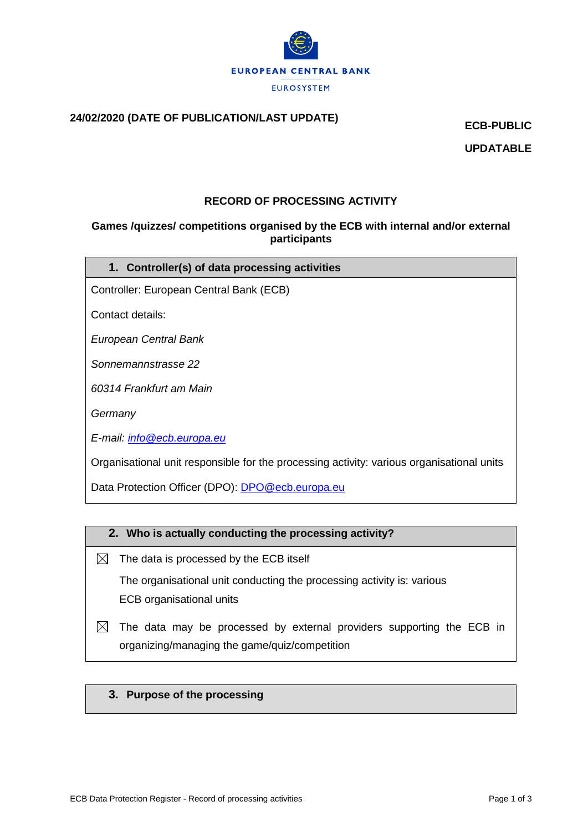

# **24/02/2020 (DATE OF PUBLICATION/LAST UPDATE) ECB-PUBLIC**

**UPDATABLE**

## **RECORD OF PROCESSING ACTIVITY**

## **Games /quizzes/ competitions organised by the ECB with internal and/or external participants**

|  |  |  | 1. Controller(s) of data processing activities |
|--|--|--|------------------------------------------------|
|--|--|--|------------------------------------------------|

Controller: European Central Bank (ECB)

Contact details:

*European Central Bank*

*Sonnemannstrasse 22*

*60314 Frankfurt am Main*

*Germany*

*E-mail: [info@ecb.europa.eu](mailto:info@ecb.europa.eu)*

Organisational unit responsible for the processing activity: various organisational units

Data Protection Officer (DPO): **DPO@ecb.europa.eu** 

## **2. Who is actually conducting the processing activity?**

- $\boxtimes$  The data is processed by the ECB itself The organisational unit conducting the processing activity is: various ECB organisational units
- $\boxtimes$  The data may be processed by external providers supporting the ECB in organizing/managing the game/quiz/competition

#### **3. Purpose of the processing**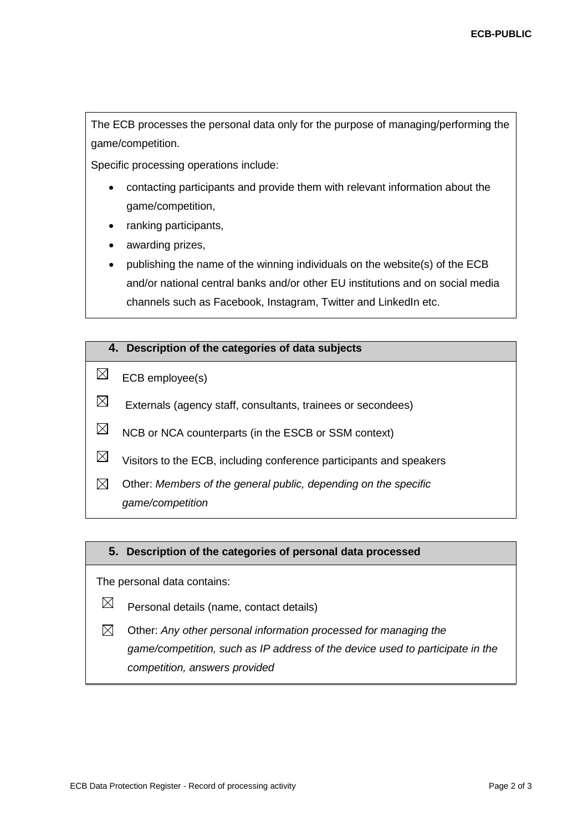The ECB processes the personal data only for the purpose of managing/performing the game/competition.

Specific processing operations include:

- contacting participants and provide them with relevant information about the game/competition,
- ranking participants,
- awarding prizes,
- publishing the name of the winning individuals on the website(s) of the ECB and/or national central banks and/or other EU institutions and on social media channels such as Facebook, Instagram, Twitter and LinkedIn etc.

#### **4. Description of the categories of data subjects**

- $\boxtimes$ ECB employee(s)
- $\times$ Externals (agency staff, consultants, trainees or secondees)
- $\boxtimes$ NCB or NCA counterparts (in the ESCB or SSM context)
- $\boxtimes$ Visitors to the ECB, including conference participants and speakers
- $\boxtimes$ Other: *Members of the general public, depending on the specific game/competition*

#### **5. Description of the categories of personal data processed**

The personal data contains:

- $\boxtimes$ Personal details (name, contact details)
- $\boxtimes$ Other: *Any other personal information processed for managing the game/competition, such as IP address of the device used to participate in the competition, answers provided*